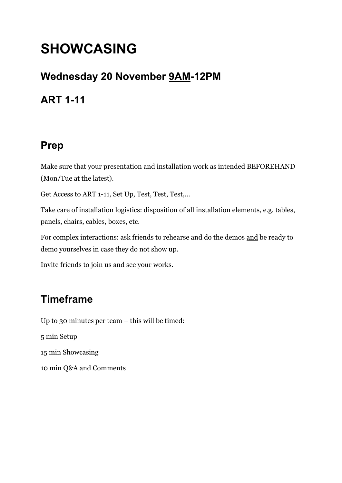# **SHOWCASING**

#### **Wednesday 20 November 9AM-12PM**

## **ART 1-11**

## **Prep**

Make sure that your presentation and installation work as intended BEFOREHAND (Mon/Tue at the latest).

Get Access to ART 1-11, Set Up, Test, Test, Test,…

Take care of installation logistics: disposition of all installation elements, e.g. tables, panels, chairs, cables, boxes, etc.

For complex interactions: ask friends to rehearse and do the demos and be ready to demo yourselves in case they do not show up.

Invite friends to join us and see your works.

## **Timeframe**

Up to 30 minutes per team – this will be timed: 5 min Setup 15 min Showcasing 10 min Q&A and Comments